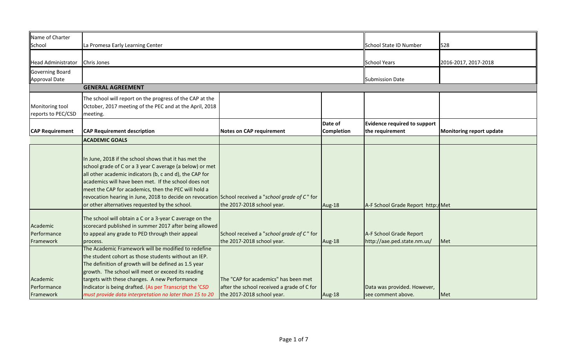| Name of Charter           |                                                                                                    |                                            |                   |                                    |                          |  |  |
|---------------------------|----------------------------------------------------------------------------------------------------|--------------------------------------------|-------------------|------------------------------------|--------------------------|--|--|
| School                    | La Promesa Early Learning Center                                                                   |                                            |                   | <b>School State ID Number</b>      | 528                      |  |  |
|                           |                                                                                                    |                                            |                   |                                    |                          |  |  |
| <b>Head Administrator</b> | Chris Jones                                                                                        |                                            |                   | <b>School Years</b>                | 2016-2017, 2017-2018     |  |  |
| <b>Governing Board</b>    |                                                                                                    |                                            |                   |                                    |                          |  |  |
| Approval Date             |                                                                                                    |                                            |                   | Submission Date                    |                          |  |  |
|                           | <b>GENERAL AGREEMENT</b>                                                                           |                                            |                   |                                    |                          |  |  |
|                           | The school will report on the progress of the CAP at the                                           |                                            |                   |                                    |                          |  |  |
| Monitoring tool           | October, 2017 meeting of the PEC and at the April, 2018                                            |                                            |                   |                                    |                          |  |  |
| reports to PEC/CSD        | meeting.                                                                                           |                                            |                   |                                    |                          |  |  |
|                           |                                                                                                    | <b>Evidence required to support</b>        |                   |                                    |                          |  |  |
| <b>CAP Requirement</b>    | <b>CAP Requirement description</b>                                                                 | <b>Notes on CAP requirement</b>            | <b>Completion</b> | the requirement                    | Monitoring report update |  |  |
|                           | <b>ACADEMIC GOALS</b>                                                                              |                                            |                   |                                    |                          |  |  |
|                           |                                                                                                    |                                            |                   |                                    |                          |  |  |
|                           | In June, 2018 if the school shows that it has met the                                              |                                            |                   |                                    |                          |  |  |
|                           | school grade of C or a 3 year C average (a below) or met                                           |                                            |                   |                                    |                          |  |  |
|                           | all other academic indicators (b, c and d), the CAP for                                            |                                            |                   |                                    |                          |  |  |
|                           | academics will have been met. If the school does not                                               |                                            |                   |                                    |                          |  |  |
|                           | meet the CAP for academics, then the PEC will hold a                                               |                                            |                   |                                    |                          |  |  |
|                           | revocation hearing in June, 2018 to decide on revocation School received a "school grade of C" for |                                            |                   |                                    |                          |  |  |
|                           | or other alternatives requested by the school.                                                     | the 2017-2018 school year.                 | Aug-18            | A-F School Grade Report http://Met |                          |  |  |
|                           |                                                                                                    |                                            |                   |                                    |                          |  |  |
|                           | The school will obtain a C or a 3-year C average on the                                            |                                            |                   |                                    |                          |  |  |
| Academic                  | scorecard published in summer 2017 after being allowed                                             |                                            |                   |                                    |                          |  |  |
| Performance               | to appeal any grade to PED through their appeal                                                    | School received a "school grade of C" for  |                   | A-F School Grade Report            |                          |  |  |
| Framework                 | process.                                                                                           | the 2017-2018 school year.                 | Aug-18            | http://aae.ped.state.nm.us/        | <b>I</b> Met             |  |  |
|                           | The Academic Framework will be modified to redefine                                                |                                            |                   |                                    |                          |  |  |
|                           | the student cohort as those students without an IEP.                                               |                                            |                   |                                    |                          |  |  |
|                           | The definition of growth will be defined as 1.5 year                                               |                                            |                   |                                    |                          |  |  |
|                           | growth. The school will meet or exceed its reading                                                 |                                            |                   |                                    |                          |  |  |
| Academic                  | targets with these changes. A new Performance                                                      | The "CAP for academics" has been met       |                   |                                    |                          |  |  |
| Performance               | Indicator is being drafted. (As per Transcript the 'CSD                                            | after the school received a grade of C for |                   | Data was provided. However,        |                          |  |  |
| Framework                 | must provide data interpretation no later than 15 to 20                                            | the 2017-2018 school year.                 | Aug-18            | see comment above.                 | Met                      |  |  |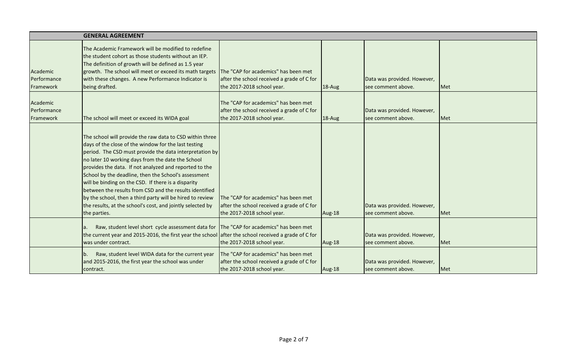|                                      | <b>GENERAL AGREEMENT</b>                                                                                                                                                                                                                                                                                                                                                                                                                                                                                                                                                                                        |                                                                                                                  |        |                                                   |     |
|--------------------------------------|-----------------------------------------------------------------------------------------------------------------------------------------------------------------------------------------------------------------------------------------------------------------------------------------------------------------------------------------------------------------------------------------------------------------------------------------------------------------------------------------------------------------------------------------------------------------------------------------------------------------|------------------------------------------------------------------------------------------------------------------|--------|---------------------------------------------------|-----|
| Academic<br>Performance<br>Framework | The Academic Framework will be modified to redefine<br>the student cohort as those students without an IEP.<br>The definition of growth will be defined as 1.5 year<br>growth. The school will meet or exceed its math targets<br>with these changes. A new Performance Indicator is<br>being drafted.                                                                                                                                                                                                                                                                                                          | The "CAP for academics" has been met<br>after the school received a grade of C for<br>the 2017-2018 school year. | 18-Aug | Data was provided. However,<br>see comment above. | Met |
| Academic<br>Performance<br>Framework | The school will meet or exceed its WIDA goal                                                                                                                                                                                                                                                                                                                                                                                                                                                                                                                                                                    | The "CAP for academics" has been met<br>after the school received a grade of C for<br>the 2017-2018 school year. | 18-Aug | Data was provided. However,<br>see comment above. | Met |
|                                      | The school will provide the raw data to CSD within three<br>days of the close of the window for the last testing<br>period. The CSD must provide the data interpretation by<br>no later 10 working days from the date the School<br>provides the data. If not analyzed and reported to the<br>School by the deadline, then the School's assessment<br>will be binding on the CSD. If there is a disparity<br>between the results from CSD and the results identified<br>by the school, then a third party will be hired to review<br>the results, at the school's cost, and jointly selected by<br>the parties. | The "CAP for academics" has been met<br>after the school received a grade of C for<br>the 2017-2018 school year. | Aug-18 | Data was provided. However,<br>see comment above. | Met |
|                                      | Raw, student level short cycle assessment data for<br>the current year and 2015-2016, the first year the school after the school received a grade of C for<br>was under contract.                                                                                                                                                                                                                                                                                                                                                                                                                               | The "CAP for academics" has been met<br>the 2017-2018 school year.                                               | Aug-18 | Data was provided. However,<br>see comment above. | Met |
|                                      | Raw, student level WIDA data for the current year<br>b.<br>and 2015-2016, the first year the school was under<br>contract.                                                                                                                                                                                                                                                                                                                                                                                                                                                                                      | The "CAP for academics" has been met<br>after the school received a grade of C for<br>the 2017-2018 school year. | Aug-18 | Data was provided. However,<br>see comment above. | Met |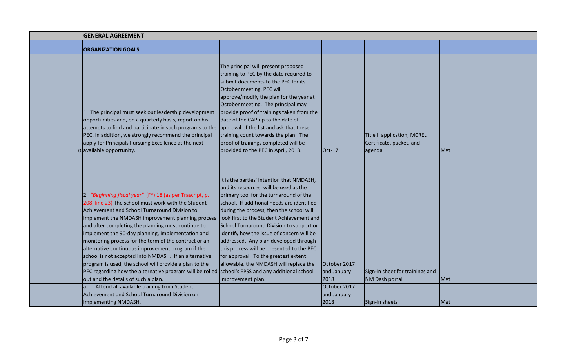| <b>GENERAL AGREEMENT</b>                                                                                                                                                                                                                                                                                                                                                                                                                                                                                                                                                                                                                                                                                                                                                                                          |                                                                                                                                                                                                                                                                                                                                                                                                                                                                                                                                                            |                                                                    |                                                         |     |
|-------------------------------------------------------------------------------------------------------------------------------------------------------------------------------------------------------------------------------------------------------------------------------------------------------------------------------------------------------------------------------------------------------------------------------------------------------------------------------------------------------------------------------------------------------------------------------------------------------------------------------------------------------------------------------------------------------------------------------------------------------------------------------------------------------------------|------------------------------------------------------------------------------------------------------------------------------------------------------------------------------------------------------------------------------------------------------------------------------------------------------------------------------------------------------------------------------------------------------------------------------------------------------------------------------------------------------------------------------------------------------------|--------------------------------------------------------------------|---------------------------------------------------------|-----|
| <b>ORGANIZATION GOALS</b>                                                                                                                                                                                                                                                                                                                                                                                                                                                                                                                                                                                                                                                                                                                                                                                         |                                                                                                                                                                                                                                                                                                                                                                                                                                                                                                                                                            |                                                                    |                                                         |     |
| 1. The principal must seek out leadership development<br>opportunities and, on a quarterly basis, report on his<br>attempts to find and participate in such programs to the approval of the list and ask that these<br>PEC. In addition, we strongly recommend the principal<br>apply for Principals Pursuing Excellence at the next                                                                                                                                                                                                                                                                                                                                                                                                                                                                              | The principal will present proposed<br>training to PEC by the date required to<br>submit documents to the PEC for its<br>October meeting. PEC will<br>approve/modify the plan for the year at<br>October meeting. The principal may<br>provide proof of trainings taken from the<br>date of the CAP up to the date of<br>training count towards the plan. The<br>proof of trainings completed will be                                                                                                                                                      |                                                                    | Title II application, MCREL<br>Certificate, packet, and |     |
| 0 available opportunity.                                                                                                                                                                                                                                                                                                                                                                                                                                                                                                                                                                                                                                                                                                                                                                                          | provided to the PEC in April, 2018.                                                                                                                                                                                                                                                                                                                                                                                                                                                                                                                        | $Oct-17$                                                           | agenda                                                  | Met |
| 2. "Beginning fiscal year" (FY) 18 (as per Trascript, p.<br>208, line 23) The school must work with the Student<br>Achievement and School Turnaround Division to<br>implement the NMDASH improvement planning process<br>and after completing the planning must continue to<br>implement the 90-day planning, implementation and<br>monitoring process for the term of the contract or an<br>alternative continuous improvement program if the<br>school is not accepted into NMDASH. If an alternative<br>program is used, the school will provide a plan to the<br>PEC regarding how the alternative program will be rolled school's EPSS and any additional school<br>out and the details of such a plan.<br>Attend all available training from Student<br>a.<br>Achievement and School Turnaround Division on | It is the parties' intention that NMDASH,<br>and its resources, will be used as the<br>primary tool for the turnaround of the<br>school. If additional needs are identified<br>during the process, then the school will<br>look first to the Student Achievement and<br>School Turnaround Division to support or<br>identify how the issue of concern will be<br>addressed. Any plan developed through<br>this process will be presented to the PEC<br>for approval. To the greatest extent<br>allowable, the NMDASH will replace the<br>improvement plan. | October 2017<br>and January<br>2018<br>October 2017<br>and January | Sign-in sheet for trainings and<br>NM Dash portal       | Met |
| implementing NMDASH.                                                                                                                                                                                                                                                                                                                                                                                                                                                                                                                                                                                                                                                                                                                                                                                              |                                                                                                                                                                                                                                                                                                                                                                                                                                                                                                                                                            | 2018                                                               | Sign-in sheets                                          | Met |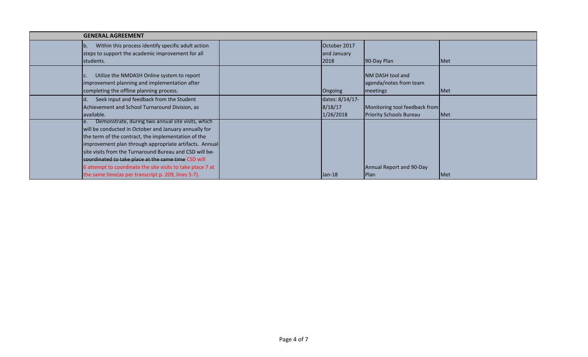| <b>GENERAL AGREEMENT</b>                                                                                                                                                                                                                                                                                                                                                                                           |                                         |                                                                 |              |  |  |  |
|--------------------------------------------------------------------------------------------------------------------------------------------------------------------------------------------------------------------------------------------------------------------------------------------------------------------------------------------------------------------------------------------------------------------|-----------------------------------------|-----------------------------------------------------------------|--------------|--|--|--|
| Within this process identify specific adult action<br>lb.<br>steps to support the academic improvement for all<br>students.                                                                                                                                                                                                                                                                                        | October 2017<br>and January<br>2018     | 90-Day Plan                                                     | Met          |  |  |  |
| Utilize the NMDASH Online system to report<br>improvement planning and implementation after<br>completing the offline planning process.                                                                                                                                                                                                                                                                            | Ongoing                                 | NM DASH tool and<br>agenda/notes from team<br>meetings          | <b>I</b> Met |  |  |  |
| Seek input and feedback from the Student<br>Achievement and School Turnaround Division, as<br>available.                                                                                                                                                                                                                                                                                                           | dates: 8/14/17-<br>8/18/17<br>1/26/2018 | Monitoring tool feedback from<br><b>Priority Schools Bureau</b> | Met          |  |  |  |
| Demonstrate, during two annual site visits, which<br>١e.<br>will be conducted in October and January annually for<br>the term of the contract, the implementation of the<br>improvement plan through appropriate artifacts. Annual<br>site visits from the Turnaround Bureau and CSD will be-<br>coordinated to take place at the same time CSD will<br>6 attempt to coordinate the site visits to take place 7 at |                                         | Annual Report and 90-Day                                        |              |  |  |  |
| the same time(as per transcript p. 209, lines 5-7).                                                                                                                                                                                                                                                                                                                                                                | $Jan-18$                                | Plan                                                            | Met          |  |  |  |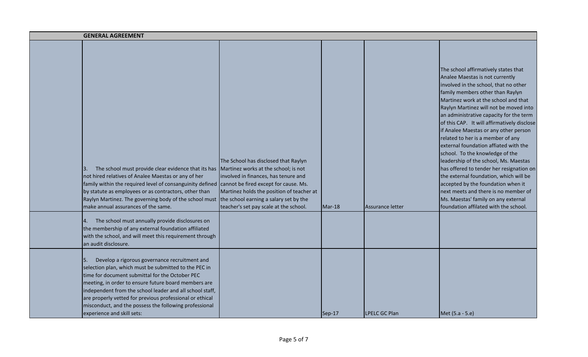| <b>GENERAL AGREEMENT</b>                                                                                                                                                                                                                                                                                                                                                                                                                |                                                                                                                                                                                                             |          |                      |                                                                                                                                                                                                                                                                                                                                                                                                                                                                                                                                                                                                                                                                                                                                                                                         |
|-----------------------------------------------------------------------------------------------------------------------------------------------------------------------------------------------------------------------------------------------------------------------------------------------------------------------------------------------------------------------------------------------------------------------------------------|-------------------------------------------------------------------------------------------------------------------------------------------------------------------------------------------------------------|----------|----------------------|-----------------------------------------------------------------------------------------------------------------------------------------------------------------------------------------------------------------------------------------------------------------------------------------------------------------------------------------------------------------------------------------------------------------------------------------------------------------------------------------------------------------------------------------------------------------------------------------------------------------------------------------------------------------------------------------------------------------------------------------------------------------------------------------|
| The school must provide clear evidence that its has<br>3.<br>not hired relatives of Analee Maestas or any of her<br>family within the required level of consanguinity defined cannot be fired except for cause. Ms.<br>by statute as employees or as contractors, other than<br>Raylyn Martinez. The governing body of the school must the school earning a salary set by the<br>make annual assurances of the same.                    | The School has disclosed that Raylyn<br>Martinez works at the school; is not<br>involved in finances, has tenure and<br>Martinez holds the position of teacher at<br>teacher's set pay scale at the school. | $Mar-18$ | Assurance letter     | The school affirmatively states that<br>Analee Maestas is not currently<br>involved in the school, that no other<br>family members other than Raylyn<br>Martinez work at the school and that<br>Raylyn Martinez will not be moved into<br>an administrative capacity for the term<br>of this CAP. It will affirmatively disclose<br>if Analee Maestas or any other person<br>related to her is a member of any<br>external foundation affiated with the<br>school. To the knowledge of the<br>leadership of the school, Ms. Maestas<br>has offered to tender her resignation on<br>the external foundation, which will be<br>accepted by the foundation when it<br>next meets and there is no member of<br>Ms. Maestas' family on any external<br>foundation affilated with the school. |
| The school must annually provide disclosures on<br>4.<br>the membership of any external foundation affiliated<br>with the school, and will meet this requirement through<br>an audit disclosure.                                                                                                                                                                                                                                        |                                                                                                                                                                                                             |          |                      |                                                                                                                                                                                                                                                                                                                                                                                                                                                                                                                                                                                                                                                                                                                                                                                         |
| Develop a rigorous governance recruitment and<br>5.<br>selection plan, which must be submitted to the PEC in<br>time for document submittal for the October PEC<br>meeting, in order to ensure future board members are<br>independent from the school leader and all school staff,<br>are properly vetted for previous professional or ethical<br>misconduct, and the possess the following professional<br>experience and skill sets: |                                                                                                                                                                                                             | Sep-17   | <b>LPELC GC Plan</b> | Met (5.a - 5.e)                                                                                                                                                                                                                                                                                                                                                                                                                                                                                                                                                                                                                                                                                                                                                                         |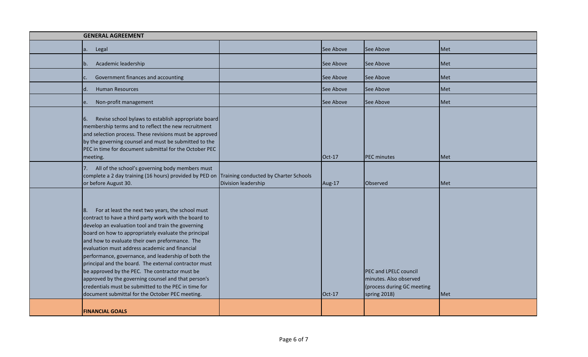| <b>GENERAL AGREEMENT</b>                                                                                                                                                                                                                                                                                                                                                                                                                                                                                                                                                                                                                                              |                     |           |                                                                                               |            |  |  |
|-----------------------------------------------------------------------------------------------------------------------------------------------------------------------------------------------------------------------------------------------------------------------------------------------------------------------------------------------------------------------------------------------------------------------------------------------------------------------------------------------------------------------------------------------------------------------------------------------------------------------------------------------------------------------|---------------------|-----------|-----------------------------------------------------------------------------------------------|------------|--|--|
| a.<br>Legal                                                                                                                                                                                                                                                                                                                                                                                                                                                                                                                                                                                                                                                           |                     | See Above | See Above                                                                                     | <b>Met</b> |  |  |
| Academic leadership<br>$\mathsf{b}$ .                                                                                                                                                                                                                                                                                                                                                                                                                                                                                                                                                                                                                                 |                     | See Above | See Above                                                                                     | Met        |  |  |
| Government finances and accounting                                                                                                                                                                                                                                                                                                                                                                                                                                                                                                                                                                                                                                    |                     | See Above | See Above                                                                                     | Met        |  |  |
| d.<br><b>Human Resources</b>                                                                                                                                                                                                                                                                                                                                                                                                                                                                                                                                                                                                                                          |                     | See Above | See Above                                                                                     | Met        |  |  |
| Non-profit management<br>e.                                                                                                                                                                                                                                                                                                                                                                                                                                                                                                                                                                                                                                           |                     | See Above | See Above                                                                                     | Met        |  |  |
| 6.<br>Revise school bylaws to establish appropriate board<br>membership terms and to reflect the new recruitment<br>and selection process. These revisions must be approved<br>by the governing counsel and must be submitted to the<br>PEC in time for document submittal for the October PEC<br>meeting.                                                                                                                                                                                                                                                                                                                                                            |                     | Oct-17    | <b>PEC minutes</b>                                                                            | Met        |  |  |
| All of the school's governing body members must<br>7.<br>complete a 2 day training (16 hours) provided by PED on Training conducted by Charter Schools<br>or before August 30.                                                                                                                                                                                                                                                                                                                                                                                                                                                                                        | Division leadership | Aug-17    | Observed                                                                                      | Met        |  |  |
| For at least the next two years, the school must<br>8.<br>contract to have a third party work with the board to<br>develop an evaluation tool and train the governing<br>board on how to appropriately evaluate the principal<br>and how to evaluate their own preformance. The<br>evaluation must address academic and financial<br>performance, governance, and leadership of both the<br>principal and the board. The external contractor must<br>be approved by the PEC. The contractor must be<br>approved by the governing counsel and that person's<br>credentials must be submitted to the PEC in time for<br>document submittal for the October PEC meeting. |                     | Oct-17    | PEC and LPELC council<br>minutes. Also observed<br>(process during GC meeting<br>spring 2018) | Met        |  |  |
| <b>FINANCIAL GOALS</b>                                                                                                                                                                                                                                                                                                                                                                                                                                                                                                                                                                                                                                                |                     |           |                                                                                               |            |  |  |